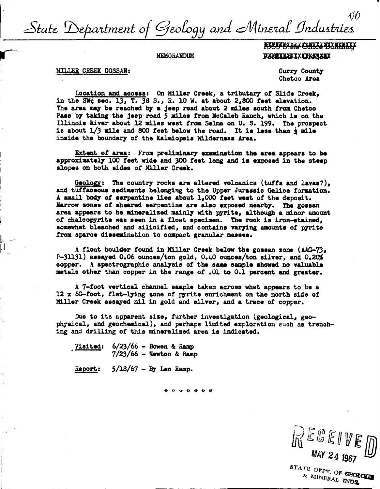1)D State Department of Geology and Mineral Industries

**MEMORANDUM** 

**RASS STATE OF REPAIRING RAHITARIXING ALAK** 

MILLER CREEK GOSSAN:

Curry County Chetco Area

Location and access: On Miller Creek, a tributary of Slide Creek. in the SWt sec. 13, T. 38 S., R. 10 W. at about 2.800 feet elevation. The area may be reached by a jeep road about 2 miles south from Chetco Pass by taking the jeep road 5 miles from McCaleb Ranch, which is on the Illinois River about 12 miles west from Selma on U. S. 199. The prospect is about  $1/3$  mile and 800 feet below the road. It is less than  $\frac{1}{2}$  mile inside the boundary of the Kalmiopsis Wilderness Area.

Extent of area: From preliminary examination the area appears to be approximately 100 feet wide and 300 feet long and is exposed in the steep slopes on both sides of Miller Creek.

Geology: The country rocks are altered volcanics (tuffs and lavas?). and tuffaceous sediments belonging to the Upper Jurassic Galice formation. A small body of serpentine lies about 1,000 feet west of the deposit. Narrow zones of sheared serpentine are also exposed nearby. The gossan area appears to be mineralized mainly with pyrite, although a minor amount of chalcopyrite was seen in a float specimen. The rock is iron-stained, somewhat bleached and silicified, and contains varying amounts of pyrite from sparce dissemination to compact granular masses.

A float boulder found in Miller Creek below the gossan zone (AAG-73,  $P-31131$ ) assayed 0.06 ounces/ton gold, 0.40 ounces/ton silver, and 0.20% copper. A spectrographic analysis of the same sample showed no valuable metals other than copper in the range of .01 to 0.1 percent and greater.

A 7-foot vertical channel sample taken across what appears to be a 12 x 60-foot, flat-lying sone of pyrite enrichment on the north side of Miller Creek assayed nil in gold and silver, and a trace of copper.

Due to its apparent size, further investigation (geological, geophysical, and geochemical), and perhaps limited exploration such as trenching and drilling of this mineralized area is indicated.

Visited:  $6/23/66$  - Bowen & Ramp  $7/23/66$  - Newton & Ramp

 $5/18/67$  - By Len Ramp. Report:

\* \* \* \* \* \* \*

**KEGEIVE** MAY 24 1967

STATE DEPT. OF CBOLOGY & MINERAL INDS.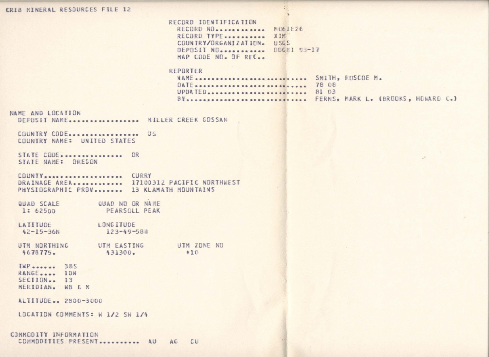## CRIB MINERAL RESOURCES FILE 12

RECORD IDENTIFICATION RECORD NO. . . . . . . . . . . . NO63826 RECORD TYPE........... XIN. COUNTRY/ORGANIZATION. USGS DEPOSIT NO. ........... DDGMI 93-17 MAP CODE NO. OF RFC..

## REPORTER

| NAME  SMITH, KOSCOE M. |                                       |
|------------------------|---------------------------------------|
| DATE  78 08            |                                       |
| UPDATED 81 03          |                                       |
|                        | BY FERNS, MARK L. (BROOKS, HOMARD C.) |

## NAME AND LOCATION

DEPOSIT NAME................. MILLER CREEK GOSSAN

COUNTRY CODE.................. US COUNTRY NAME: UNITED STATES

STATE CODE............... OR STATE NAME: OREGON

COUNTY.................... CURRY DRAINAGE AREA............ 17100312 PACIFIC NORTHWEST PHYSIOGRAPHIC PROV....... 13 KLAMATH MOUNTAINS

QUAD SCALE QUAD ND OR NAME PEARSOLL PEAK 1: 62500

LONGITUDE LATITUDE  $42 - 15 - 36N$ 123-49-58週

UTM NORTHING UTM EASTING UTM ZONE NO 4678775. 431300.  $+10$ 

TWP....... 385 RANGE.... 10W  $SECIION$ . 13

MERIDIAN. WB & M

ALTITUDE.. 2800-3000

LOCATION COMMENTS: W 1/2 SW 1/4

COMMODITY INFORMATION COMMODITIES PRESENT........... AU AG CU